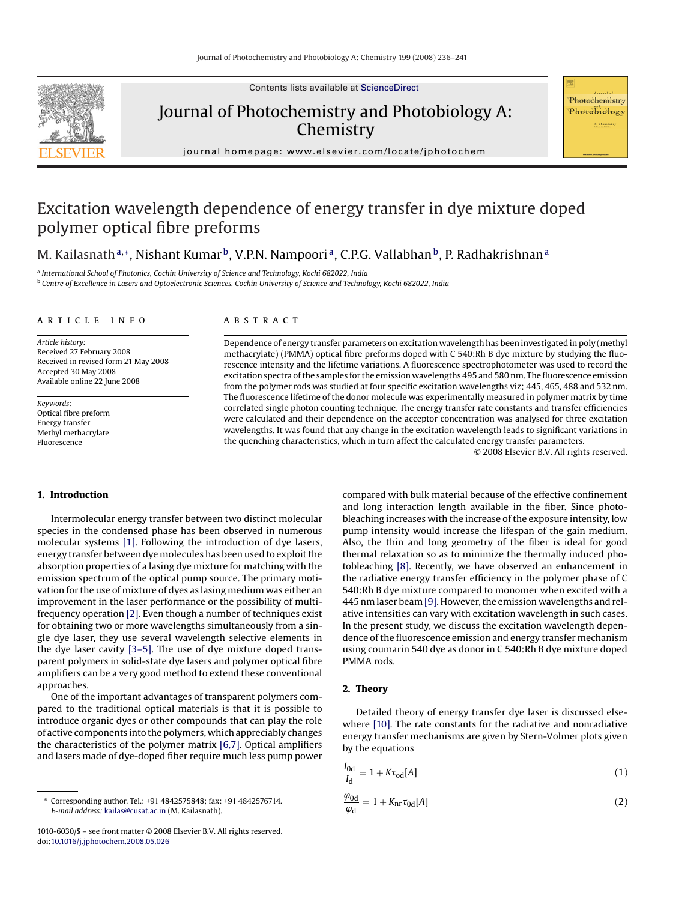Contents lists available at [ScienceDirect](http://www.sciencedirect.com/science/journal/10106030)



Journal of Photochemistry and Photobiology A: Chemistry

Photochemistry Photobiology .<br>Ai Chemi

journal homepage: www.elsevier.com/locate/jphotochem

# Excitation wavelength dependence of energy transfer in dye mixture doped polymer optical fibre preforms

M. Kailasnath<sup>a,∗</sup>, Nishant Kumar<sup>b</sup>, V.P.N. Nampoori<sup>a</sup>, C.P.G. Vallabhan<sup>b</sup>, P. Radhakrishnan<sup>a</sup>

<sup>a</sup> *International School of Photonics, Cochin University of Science and Technology, Kochi 682022, India* <sup>b</sup> *Centre of Excellence in Lasers and Optoelectronic Sciences. Cochin University of Science and Technology, Kochi 682022, India*

#### article info

*Article history:* Received 27 February 2008 Received in revised form 21 May 2008 Accepted 30 May 2008 Available online 22 June 2008

*Keywords:* Optical fibre preform Energy transfer Methyl methacrylate Fluorescence

#### **ABSTRACT**

Dependence of energy transfer parameters on excitation wavelength has been investigated in poly (methyl methacrylate) (PMMA) optical fibre preforms doped with C 540:Rh B dye mixture by studying the fluorescence intensity and the lifetime variations. A fluorescence spectrophotometer was used to record the excitation spectra of the samples for the emission wavelengths 495 and 580 nm. The fluorescence emission from the polymer rods was studied at four specific excitation wavelengths viz; 445, 465, 488 and 532 nm. The fluorescence lifetime of the donor molecule was experimentally measured in polymer matrix by time correlated single photon counting technique. The energy transfer rate constants and transfer efficiencies were calculated and their dependence on the acceptor concentration was analysed for three excitation wavelengths. It was found that any change in the excitation wavelength leads to significant variations in the quenching characteristics, which in turn affect the calculated energy transfer parameters.

© 2008 Elsevier B.V. All rights reserved.

#### **1. Introduction**

Intermolecular energy transfer between two distinct molecular species in the condensed phase has been observed in numerous molecular systems [\[1\].](#page-5-0) Following the introduction of dye lasers, energy transfer between dye molecules has been used to exploit the absorption properties of a lasing dye mixture for matching with the emission spectrum of the optical pump source. The primary motivation for the use of mixture of dyes as lasing medium was either an improvement in the laser performance or the possibility of multifrequency operation [\[2\]. E](#page-5-0)ven though a number of techniques exist for obtaining two or more wavelengths simultaneously from a single dye laser, they use several wavelength selective elements in the dye laser cavity [\[3–5\]. T](#page-5-0)he use of dye mixture doped transparent polymers in solid-state dye lasers and polymer optical fibre amplifiers can be a very good method to extend these conventional approaches.

One of the important advantages of transparent polymers compared to the traditional optical materials is that it is possible to introduce organic dyes or other compounds that can play the role of active components into the polymers, which appreciably changes the characteristics of the polymer matrix [\[6,7\]. O](#page-5-0)ptical amplifiers and lasers made of dye-doped fiber require much less pump power compared with bulk material because of the effective confinement and long interaction length available in the fiber. Since photobleaching increases with the increase of the exposure intensity, low pump intensity would increase the lifespan of the gain medium. Also, the thin and long geometry of the fiber is ideal for good thermal relaxation so as to minimize the thermally induced photobleaching [\[8\]. R](#page-5-0)ecently, we have observed an enhancement in the radiative energy transfer efficiency in the polymer phase of C 540:Rh B dye mixture compared to monomer when excited with a 445 nm laser beam [\[9\]. H](#page-5-0)owever, the emission wavelengths and relative intensities can vary with excitation wavelength in such cases. In the present study, we discuss the excitation wavelength dependence of the fluorescence emission and energy transfer mechanism using coumarin 540 dye as donor in C 540:Rh B dye mixture doped PMMA rods.

## **2. Theory**

Detailed theory of energy transfer dye laser is discussed elsewhere [\[10\]. T](#page-5-0)he rate constants for the radiative and nonradiative energy transfer mechanisms are given by Stern-Volmer plots given by the equations

$$
\frac{I_{\text{0d}}}{I_{\text{d}}} = 1 + K \tau_{\text{od}}[A] \tag{1}
$$

$$
\frac{\varphi_{\text{od}}}{\varphi_{\text{d}}} = 1 + K_{\text{nr}} \tau_{\text{0d}}[A] \tag{2}
$$

<sup>∗</sup> Corresponding author. Tel.: +91 4842575848; fax: +91 4842576714. *E-mail address:* [kailas@cusat.ac.in](mailto:kailas@cusat.ac.in) (M. Kailasnath).

<sup>1010-6030/\$ –</sup> see front matter © 2008 Elsevier B.V. All rights reserved. doi:[10.1016/j.jphotochem.2008.05.026](dx.doi.org/10.1016/j.jphotochem.2008.05.026)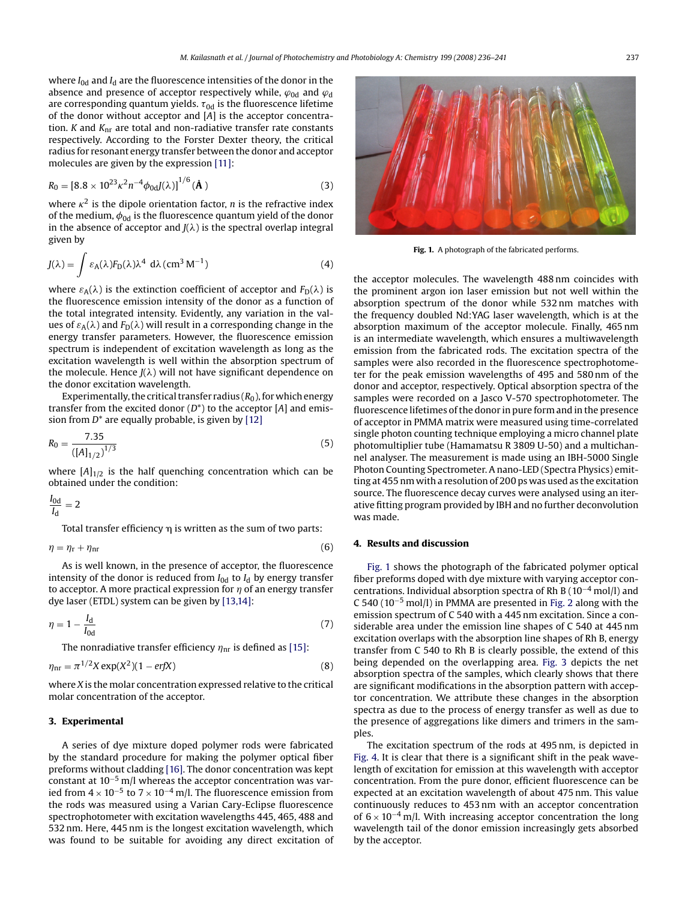where  $I_{0d}$  and  $I_d$  are the fluorescence intensities of the donor in the absence and presence of acceptor respectively while,  $\varphi_{0d}$  and  $\varphi_{d}$ are corresponding quantum yields.  $\tau_{0{\rm d}}$  is the fluorescence lifetime of the donor without acceptor and [*A*] is the acceptor concentration. *K* and *K*nr are total and non-radiative transfer rate constants respectively. According to the Forster Dexter theory, the critical radius for resonant energy transfer between the donor and acceptor molecules are given by the expression [\[11\]:](#page-5-0)

$$
R_0 = [8.8 \times 10^{23} \kappa^2 n^{-4} \phi_{0d} J(\lambda)]^{1/6} (\mathbf{\AA})
$$
 (3)

where  $\kappa^2$  is the dipole orientation factor, *n* is the refractive index of the medium,  $\phi_{0d}$  is the fluorescence quantum yield of the donor in the absence of acceptor and  $J(\lambda)$  is the spectral overlap integral given by

$$
J(\lambda) = \int \varepsilon_A(\lambda) F_D(\lambda) \lambda^4 \ d\lambda \, (cm^3 \, M^{-1}) \tag{4}
$$

where  $\varepsilon_A(\lambda)$  is the extinction coefficient of acceptor and  $F_D(\lambda)$  is the fluorescence emission intensity of the donor as a function of the total integrated intensity. Evidently, any variation in the values of  $\varepsilon_A(\lambda)$  and  $F_D(\lambda)$  will result in a corresponding change in the energy transfer parameters. However, the fluorescence emission spectrum is independent of excitation wavelength as long as the excitation wavelength is well within the absorption spectrum of the molecule. Hence  $J(\lambda)$  will not have significant dependence on the donor excitation wavelength.

Experimentally, the critical transfer radius  $(R_0)$ , for which energy transfer from the excited donor (*D*\*) to the acceptor [*A*] and emission from *D*\* are equally probable, is given by [\[12\]](#page-5-0)

$$
R_0 = \frac{7.35}{([A]_{1/2})^{1/3}}
$$
\n(5)

where  $[A]_{1/2}$  is the half quenching concentration which can be obtained under the condition:

$$
\frac{I_{\text{0d}}}{I_{\text{d}}} = 2
$$

Total transfer efficiency  $\eta$  is written as the sum of two parts:

$$
\eta = \eta_{\rm r} + \eta_{\rm nr} \tag{6}
$$

As is well known, in the presence of acceptor, the fluorescence intensity of the donor is reduced from  $I_{0d}$  to  $I_d$  by energy transfer to acceptor. A more practical expression for  $\eta$  of an energy transfer dye laser (ETDL) system can be given by [\[13,14\]:](#page-5-0)

$$
\eta = 1 - \frac{I_d}{I_{0d}}\tag{7}
$$

The nonradiative transfer efficiency  $\eta_{\rm nr}$  is defined as [\[15\]:](#page-5-0)

$$
\eta_{\rm nr} = \pi^{1/2} X \exp(X^2)(1 - \text{erf}X) \tag{8}
$$

where *X* is the molar concentration expressed relative to the critical molar concentration of the acceptor.

## **3. Experimental**

A series of dye mixture doped polymer rods were fabricated by the standard procedure for making the polymer optical fiber preforms without cladding [\[16\]. T](#page-5-0)he donor concentration was kept constant at 10−<sup>5</sup> m/l whereas the acceptor concentration was varied from  $4 \times 10^{-5}$  to  $7 \times 10^{-4}$  m/l. The fluorescence emission from the rods was measured using a Varian Cary-Eclipse fluorescence spectrophotometer with excitation wavelengths 445, 465, 488 and 532 nm. Here, 445 nm is the longest excitation wavelength, which was found to be suitable for avoiding any direct excitation of



**Fig. 1.** A photograph of the fabricated performs.

the acceptor molecules. The wavelength 488 nm coincides with the prominent argon ion laser emission but not well within the absorption spectrum of the donor while 532 nm matches with the frequency doubled Nd:YAG laser wavelength, which is at the absorption maximum of the acceptor molecule. Finally, 465 nm is an intermediate wavelength, which ensures a multiwavelength emission from the fabricated rods. The excitation spectra of the samples were also recorded in the fluorescence spectrophotometer for the peak emission wavelengths of 495 and 580 nm of the donor and acceptor, respectively. Optical absorption spectra of the samples were recorded on a Jasco V-570 spectrophotometer. The fluorescence lifetimes of the donor in pure form and in the presence of acceptor in PMMA matrix were measured using time-correlated single photon counting technique employing a micro channel plate photomultiplier tube (Hamamatsu R 3809 U-50) and a multichannel analyser. The measurement is made using an IBH-5000 Single Photon Counting Spectrometer. A nano-LED (Spectra Physics) emitting at 455 nm with a resolution of 200 ps was used as the excitation source. The fluorescence decay curves were analysed using an iterative fitting program provided by IBH and no further deconvolution was made.

## **4. Results and discussion**

Fig. 1 shows the photograph of the fabricated polymer optical fiber preforms doped with dye mixture with varying acceptor concentrations. Individual absorption spectra of Rh B (10−<sup>4</sup> mol/l) and C 540 (10−<sup>5</sup> mol/l) in PMMA are presented in [Fig. 2](#page-2-0) along with the emission spectrum of C 540 with a 445 nm excitation. Since a considerable area under the emission line shapes of C 540 at 445 nm excitation overlaps with the absorption line shapes of Rh B, energy transfer from C 540 to Rh B is clearly possible, the extend of this being depended on the overlapping area. [Fig. 3](#page-2-0) depicts the net absorption spectra of the samples, which clearly shows that there are significant modifications in the absorption pattern with acceptor concentration. We attribute these changes in the absorption spectra as due to the process of energy transfer as well as due to the presence of aggregations like dimers and trimers in the samples.

The excitation spectrum of the rods at 495 nm, is depicted in [Fig. 4. I](#page-2-0)t is clear that there is a significant shift in the peak wavelength of excitation for emission at this wavelength with acceptor concentration. From the pure donor, efficient fluorescence can be expected at an excitation wavelength of about 475 nm. This value continuously reduces to 453 nm with an acceptor concentration of  $6 \times 10^{-4}$  m/l. With increasing acceptor concentration the long wavelength tail of the donor emission increasingly gets absorbed by the acceptor.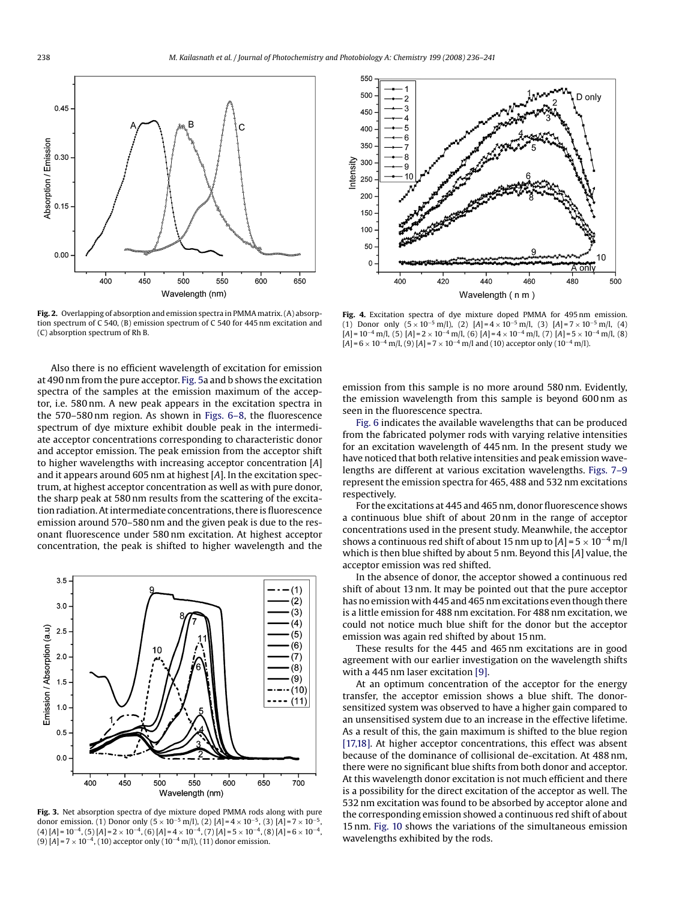<span id="page-2-0"></span>

**Fig. 2.** Overlapping of absorption and emission spectra in PMMA matrix. (A) absorption spectrum of C 540, (B) emission spectrum of C 540 for 445 nm excitation and (C) absorption spectrum of Rh B.

Also there is no efficient wavelength of excitation for emission at 490 nm from the pure acceptor. [Fig. 5a](#page-3-0) and b shows the excitation spectra of the samples at the emission maximum of the acceptor, i.e. 580 nm. A new peak appears in the excitation spectra in the 570–580 nm region. As shown in [Figs. 6–8,](#page-3-0) the fluorescence spectrum of dye mixture exhibit double peak in the intermediate acceptor concentrations corresponding to characteristic donor and acceptor emission. The peak emission from the acceptor shift to higher wavelengths with increasing acceptor concentration [*A*] and it appears around 605 nm at highest [*A*]. In the excitation spectrum, at highest acceptor concentration as well as with pure donor, the sharp peak at 580 nm results from the scattering of the excitation radiation. At intermediate concentrations, there is fluorescence emission around 570–580 nm and the given peak is due to the resonant fluorescence under 580 nm excitation. At highest acceptor concentration, the peak is shifted to higher wavelength and the



**Fig. 3.** Net absorption spectra of dye mixture doped PMMA rods along with pure donor emission. (1) Donor only  $(5 \times 10^{-5} \text{ m/l})$ , (2)  $[A]=4 \times 10^{-5}$ , (3)  $[A]=7 \times 10^{-5}$ , (4) [*A*] = 10−4, (5) [*A*]=2 <sup>×</sup> <sup>10</sup>−4, (6) [*A*]=4 <sup>×</sup> <sup>10</sup>−4, (7) [*A*]=5 <sup>×</sup> <sup>10</sup>−4, (8) [*A*]=6 <sup>×</sup> <sup>10</sup>−4, (9) [*A*]=7 <sup>×</sup> <sup>10</sup>−4, (10) acceptor only (10−<sup>4</sup> m/l), (11) donor emission.



**Fig. 4.** Excitation spectra of dye mixture doped PMMA for 495 nm emission. (1) Donor only  $(5 \times 10^{-5} \text{ m/l})$ , (2)  $[A] = 4 \times 10^{-5} \text{ m/l}$ , (3)  $[A] = 7 \times 10^{-5} \text{ m/l}$ , (4) [*A*] = 10−<sup>4</sup> m/l, (5) [*A*]=2 <sup>×</sup> <sup>10</sup>−<sup>4</sup> m/l, (6) [*A*]=4 <sup>×</sup> <sup>10</sup>−<sup>4</sup> m/l, (7) [*A*]=5 <sup>×</sup> <sup>10</sup>−<sup>4</sup> m/l, (8) [*A*]=6 <sup>×</sup> <sup>10</sup>−<sup>4</sup> m/l, (9) [*A*]=7 <sup>×</sup> <sup>10</sup>−<sup>4</sup> m/l and (10) acceptor only (10−<sup>4</sup> m/l).

emission from this sample is no more around 580 nm. Evidently, the emission wavelength from this sample is beyond 600 nm as seen in the fluorescence spectra.

[Fig. 6](#page-3-0) indicates the available wavelengths that can be produced from the fabricated polymer rods with varying relative intensities for an excitation wavelength of 445 nm. In the present study we have noticed that both relative intensities and peak emission wavelengths are different at various excitation wavelengths. [Figs. 7–9](#page-3-0) represent the emission spectra for 465, 488 and 532 nm excitations respectively.

For the excitations at 445 and 465 nm, donor fluorescence shows a continuous blue shift of about 20 nm in the range of acceptor concentrations used in the present study. Meanwhile, the acceptor shows a continuous red shift of about 15 nm up to  $[A] = 5 \times 10^{-4}$  m/l which is then blue shifted by about 5 nm. Beyond this [*A*] value, the acceptor emission was red shifted.

In the absence of donor, the acceptor showed a continuous red shift of about 13 nm. It may be pointed out that the pure acceptor has no emission with 445 and 465 nm excitations even though there is a little emission for 488 nm excitation. For 488 nm excitation, we could not notice much blue shift for the donor but the acceptor emission was again red shifted by about 15 nm.

These results for the 445 and 465 nm excitations are in good agreement with our earlier investigation on the wavelength shifts with a 445 nm laser excitation [\[9\].](#page-5-0)

At an optimum concentration of the acceptor for the energy transfer, the acceptor emission shows a blue shift. The donorsensitized system was observed to have a higher gain compared to an unsensitised system due to an increase in the effective lifetime. As a result of this, the gain maximum is shifted to the blue region [\[17,18\].](#page-5-0) At higher acceptor concentrations, this effect was absent because of the dominance of collisional de-excitation. At 488 nm, there were no significant blue shifts from both donor and acceptor. At this wavelength donor excitation is not much efficient and there is a possibility for the direct excitation of the acceptor as well. The 532 nm excitation was found to be absorbed by acceptor alone and the corresponding emission showed a continuous red shift of about 15 nm. [Fig. 10](#page-4-0) shows the variations of the simultaneous emission wavelengths exhibited by the rods.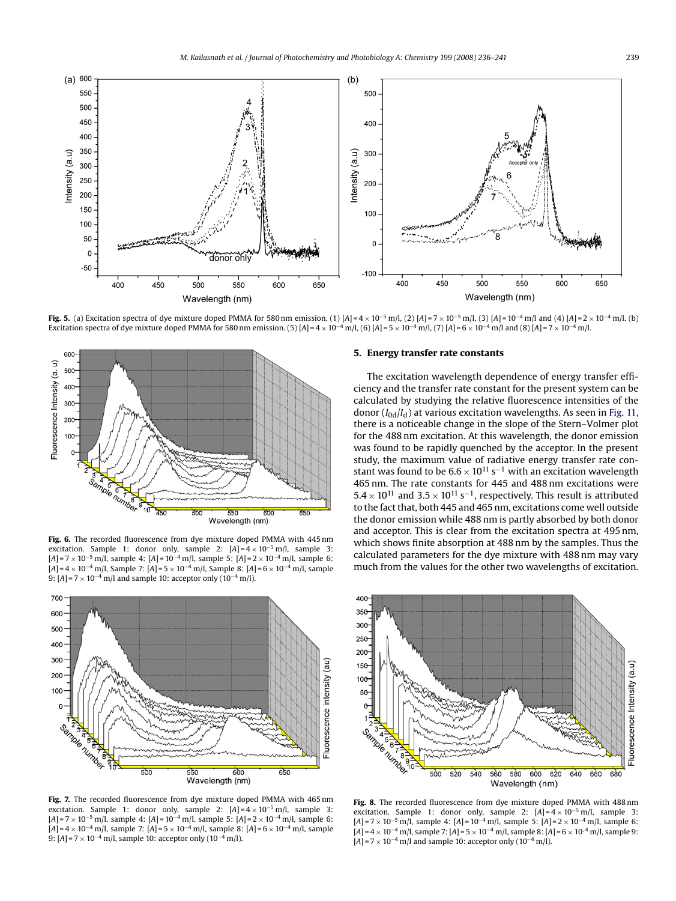<span id="page-3-0"></span>

**Fig. 5.** (a) Excitation spectra of dye mixture doped PMMA for 580 nm emission. (1)  $[A] = 4 \times 10^{-5}$  m/l, (2)  $[A] = 7 \times 10^{-5}$  m/l, (3)  $[A] = 10^{-4}$  m/l and (4)  $[A] = 2 \times 10^{-4}$  m/l. (b) Excitation spectra of dye mixture doped PMMA for 580 nm emission. (5)  $[A] = 4 \times 10^{-4}$  m/l, (6)  $[A] = 5 \times 10^{-4}$  m/l, (7)  $[A] = 6 \times 10^{-4}$  m/l and (8)  $[A] = 7 \times 10^{-4}$  m/l.



**Fig. 6.** The recorded fluorescence from dye mixture doped PMMA with 445 nm excitation. Sample 1: donor only, sample 2:  $[A] = 4 \times 10^{-5}$  m/l, sample 3: [*A*]=7 <sup>×</sup> <sup>10</sup>−<sup>5</sup> m/l, sample 4: [*A*] = 10−<sup>4</sup> m/l, sample 5: [*A*]=2 <sup>×</sup> <sup>10</sup>−<sup>4</sup> m/l, sample 6: [*A*]=4 <sup>×</sup> <sup>10</sup>−<sup>4</sup> m/l, Sample 7: [*A*]=5 <sup>×</sup> <sup>10</sup>−<sup>4</sup> m/l, Sample 8: [*A*]=6 <sup>×</sup> <sup>10</sup>−<sup>4</sup> m/l, sample 9: [*A*] = 7 × 10<sup>-4</sup> m/l and sample 10: acceptor only (10<sup>-4</sup> m/l).



**Fig. 7.** The recorded fluorescence from dye mixture doped PMMA with 465 nm excitation. Sample 1: donor only, sample 2: [*A*]=4 <sup>×</sup> <sup>10</sup>−<sup>5</sup> m/l, sample 3: [*A*]=7 <sup>×</sup> <sup>10</sup>−<sup>5</sup> m/l, sample 4: [*A*] = 10−<sup>4</sup> m/l, sample 5: [*A*]=2 <sup>×</sup> <sup>10</sup>−<sup>4</sup> m/l, sample 6: [*A*]=4 <sup>×</sup> <sup>10</sup>−<sup>4</sup> m/l, sample 7: [*A*]=5 <sup>×</sup> <sup>10</sup>−<sup>4</sup> m/l, sample 8: [*A*]=6 <sup>×</sup> <sup>10</sup>−<sup>4</sup> m/l, sample 9: [*A*] = 7 × 10<sup>-4</sup> m/l, sample 10: acceptor only (10<sup>-4</sup> m/l).

# **5. Energy transfer rate constants**

The excitation wavelength dependence of energy transfer efficiency and the transfer rate constant for the present system can be calculated by studying the relative fluorescence intensities of the donor (*I*0d/*I*d) at various excitation wavelengths. As seen in [Fig. 11,](#page-4-0) there is a noticeable change in the slope of the Stern–Volmer plot for the 488 nm excitation. At this wavelength, the donor emission was found to be rapidly quenched by the acceptor. In the present study, the maximum value of radiative energy transfer rate constant was found to be  $6.6 \times 10^{11}$  s<sup>-1</sup> with an excitation wavelength 465 nm. The rate constants for 445 and 488 nm excitations were  $5.4 \times 10^{11}$  and  $3.5 \times 10^{11}$  s<sup>-1</sup>, respectively. This result is attributed to the fact that, both 445 and 465 nm, excitations come well outside the donor emission while 488 nm is partly absorbed by both donor and acceptor. This is clear from the excitation spectra at 495 nm, which shows finite absorption at 488 nm by the samples. Thus the calculated parameters for the dye mixture with 488 nm may vary much from the values for the other two wavelengths of excitation.



**Fig. 8.** The recorded fluorescence from dye mixture doped PMMA with 488 nm excitation. Sample 1: donor only, sample 2:  $[A] = 4 \times 10^{-5}$  m/l, sample 3: [*A*]=7 <sup>×</sup> <sup>10</sup>−<sup>5</sup> m/l, sample 4: [*A*] = 10−<sup>4</sup> m/l, sample 5: [*A*]=2 <sup>×</sup> <sup>10</sup>−<sup>4</sup> m/l, sample 6: [*A*]=4 <sup>×</sup> <sup>10</sup>−<sup>4</sup> m/l, sample 7: [*A*]=5 <sup>×</sup> <sup>10</sup>−<sup>4</sup> m/l, sample 8: [*A*]=6 <sup>×</sup> 10, 4 m/l, sample 9:  $[A]$ =7 × 10<sup>-4</sup> m/l and sample 10: acceptor only (10<sup>-4</sup> m/l).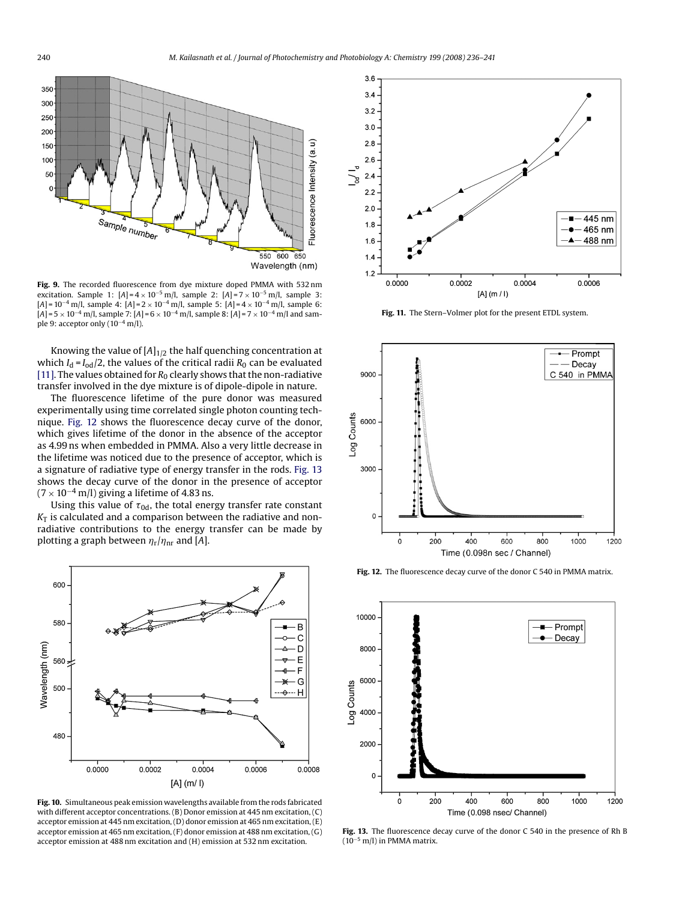<span id="page-4-0"></span>

Fig. 9. The recorded fluorescence from dye mixture doped PMMA with 532 nm excitation. Sample 1:  $[A] = 4 \times 10^{-5}$  m/l, sample 2:  $[A] = 7 \times 10^{-5}$  m/l, sample 3: [*A*] = 10−<sup>4</sup> m/l, sample 4: [*A*]=2 <sup>×</sup> <sup>10</sup>−<sup>4</sup> m/l, sample 5: [*A*]=4 <sup>×</sup> <sup>10</sup>−<sup>4</sup> m/l, sample 6: [*A*]=5 <sup>×</sup> <sup>10</sup>−<sup>4</sup> m/l, sample 7: [*A*]=6 <sup>×</sup> <sup>10</sup>−<sup>4</sup> m/l, sample 8: [*A*]=7 <sup>×</sup> <sup>10</sup>−<sup>4</sup> m/l and sample 9: acceptor only (10−<sup>4</sup> m/l).

Knowing the value of  $[A]_{1/2}$  the half quenching concentration at which  $I_d = I_{od}/2$ , the values of the critical radii  $R_0$  can be evaluated [\[11\]. T](#page-5-0)he values obtained for  $R_0$  clearly shows that the non-radiative transfer involved in the dye mixture is of dipole-dipole in nature.

The fluorescence lifetime of the pure donor was measured experimentally using time correlated single photon counting technique. Fig. 12 shows the fluorescence decay curve of the donor, which gives lifetime of the donor in the absence of the acceptor as 4.99 ns when embedded in PMMA. Also a very little decrease in the lifetime was noticed due to the presence of acceptor, which is a signature of radiative type of energy transfer in the rods. Fig. 13 shows the decay curve of the donor in the presence of acceptor  $(7 \times 10^{-4} \text{ m/l})$  giving a lifetime of 4.83 ns.

Using this value of  $\tau_{0{\rm d}}$ , the total energy transfer rate constant  $K<sub>T</sub>$  is calculated and a comparison between the radiative and nonradiative contributions to the energy transfer can be made by plotting a graph between  $\eta_{\rm r}/\eta_{\rm nr}$  and [A].



**Fig. 10.** Simultaneous peak emission wavelengths available from the rods fabricated with different acceptor concentrations. (B) Donor emission at 445 nm excitation, (C) acceptor emission at 445 nm excitation, (D) donor emission at 465 nm excitation, (E) acceptor emission at 465 nm excitation, (F) donor emission at 488 nm excitation, (G) acceptor emission at 488 nm excitation and (H) emission at 532 nm excitation.



**Fig. 11.** The Stern–Volmer plot for the present ETDL system.



**Fig. 12.** The fluorescence decay curve of the donor C 540 in PMMA matrix.



**Fig. 13.** The fluorescence decay curve of the donor C 540 in the presence of Rh B  $(10^{-5}$  m/l) in PMMA matrix.